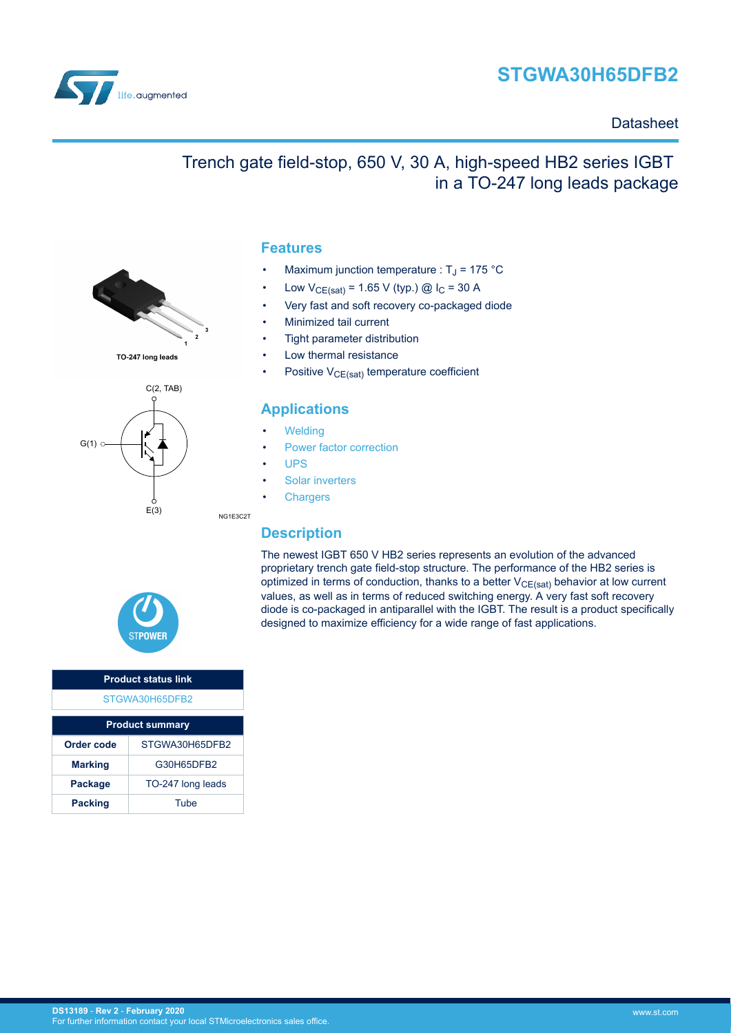

in a TO-247 long leads package



### **Datasheet**



TO-247 long leads



### **Features**

Maximum junction temperature :  $T_J$  = 175 °C

Trench gate field-stop, 650 V, 30 A, high-speed HB2 series IGBT

- Low  $V_{CE(sat)} = 1.65 V$  (typ.) @  $I_C = 30 A$
- Very fast and soft recovery co-packaged diode
- Minimized tail current
- Tight parameter distribution
- Low thermal resistance
- Positive  $V_{CE(sat)}$  temperature coefficient

### **Applications**

- **[Welding](https://www.st.com/en/applications/industrial-power-and-tools/welding.html?ecmp=tt9471_gl_link_feb2019&rt=ds&id=DS13189)**
- [Power factor correction](https://www.st.com/en/applications/power-supplies-and-converters/pfc-converter-single-phase-input.html?ecmp=tt9471_gl_link_feb2019&rt=ds&id=DS13189)
- [UPS](https://www.st.com/en/applications/power-supplies-and-converters/uninterruptable-power-supplies-ups.html?ecmp=tt9471_gl_link_feb2019&rt=ds&id=DS13189)

NG1E3C2T

- [Solar inverters](https://www.st.com/en/applications/energy-generation-and-distribution/solar-inverters-string-and-central.html?ecmp=tt9471_gl_link_feb2019&rt=ds&id=DS13189)
- **[Chargers](https://www.st.com/en/applications/energy-generation-and-distribution/dc-fast-charging-station.html?ecmp=tt9471_gl_link_feb2019&rt=ds&id=DS13189)**

### **Description**

The newest IGBT 650 V HB2 series represents an evolution of the advanced proprietary trench gate field-stop structure. The performance of the HB2 series is optimized in terms of conduction, thanks to a better  $V_{CE(sat)}$  behavior at low current values, as well as in terms of reduced switching energy. A very fast soft recovery diode is co-packaged in antiparallel with the IGBT. The result is a product specifically designed to maximize efficiency for a wide range of fast applications.



| <b>Product status link</b> |                   |  |  |  |  |
|----------------------------|-------------------|--|--|--|--|
| STGWA30H65DFB2             |                   |  |  |  |  |
|                            |                   |  |  |  |  |
| <b>Product summary</b>     |                   |  |  |  |  |
| Order code                 | STGWA30H65DFB2    |  |  |  |  |
| <b>Marking</b>             | G30H65DFB2        |  |  |  |  |
| Package                    | TO-247 long leads |  |  |  |  |
| <b>Packing</b>             | Tube              |  |  |  |  |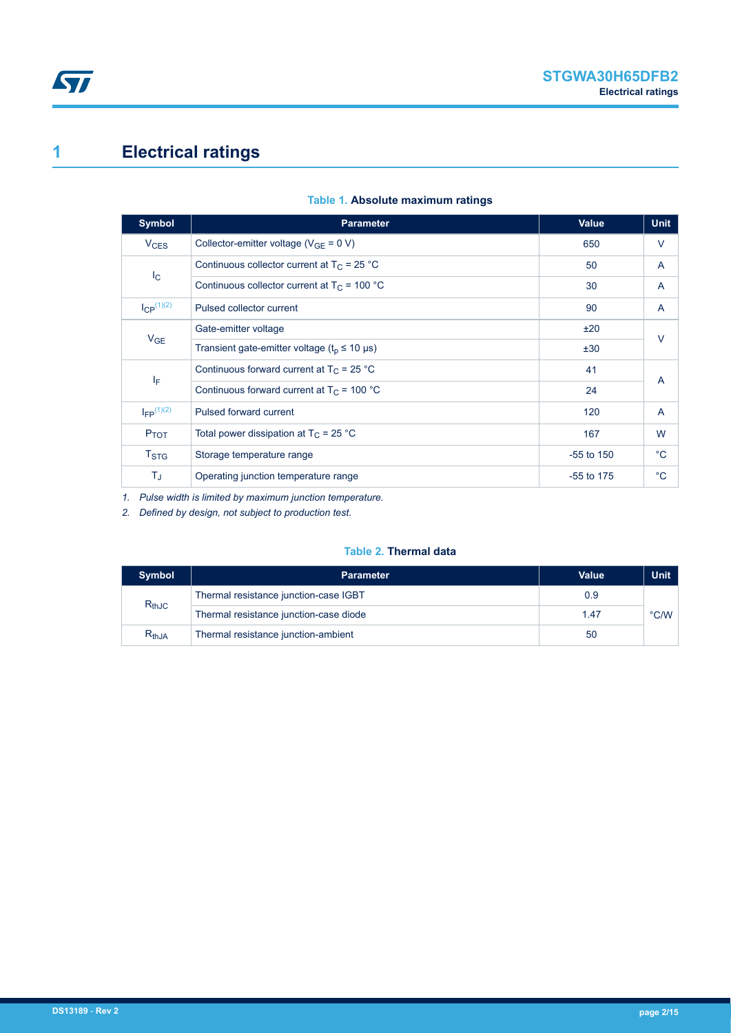# <span id="page-1-0"></span>**1 Electrical ratings**

| <b>Symbol</b>          | <b>Parameter</b>                                                   | <b>Value</b> | <b>Unit</b>    |  |
|------------------------|--------------------------------------------------------------------|--------------|----------------|--|
| <b>V<sub>CES</sub></b> | Collector-emitter voltage ( $V_{GE}$ = 0 V)                        | 650          | V              |  |
|                        | Continuous collector current at $T_C = 25 °C$                      | 50           | A              |  |
| $I_{\rm C}$            | Continuous collector current at $T_c$ = 100 °C                     | 30           | A              |  |
| $I_{CP}^{(1)(2)}$      | Pulsed collector current                                           | 90           | A              |  |
|                        | Gate-emitter voltage                                               | ±20          | $\vee$         |  |
| $V_{GE}$               | Transient gate-emitter voltage ( $tp \le 10 \text{ }\mu\text{s}$ ) | ±30          |                |  |
|                        | Continuous forward current at $T_C = 25 °C$                        | 41           | $\overline{A}$ |  |
| ΙF                     | Continuous forward current at $T_C$ = 100 °C                       | 24           |                |  |
| $I_{FP}$ $(1)(2)$      | Pulsed forward current                                             | 120          | A              |  |
| $P_{TOT}$              | Total power dissipation at $T_C = 25 °C$                           | 167          | W              |  |
| $T_{\mathrm{STG}}$     | Storage temperature range                                          | $-55$ to 150 | $^{\circ}C$    |  |
| TJ                     | Operating junction temperature range                               | -55 to 175   | $^{\circ}C$    |  |

#### **Table 1. Absolute maximum ratings**

*1. Pulse width is limited by maximum junction temperature.*

*2. Defined by design, not subject to production test.*

#### **Table 2. Thermal data**

| <b>Symbol</b> | <b>Parameter</b>                       | Value | <b>Unit</b>   |
|---------------|----------------------------------------|-------|---------------|
| $R_{thJC}$    | Thermal resistance junction-case IGBT  | 0.9   |               |
|               | Thermal resistance junction-case diode | 1.47  | $\degree$ C/W |
| $R_{th,JA}$   | Thermal resistance junction-ambient    | 50    |               |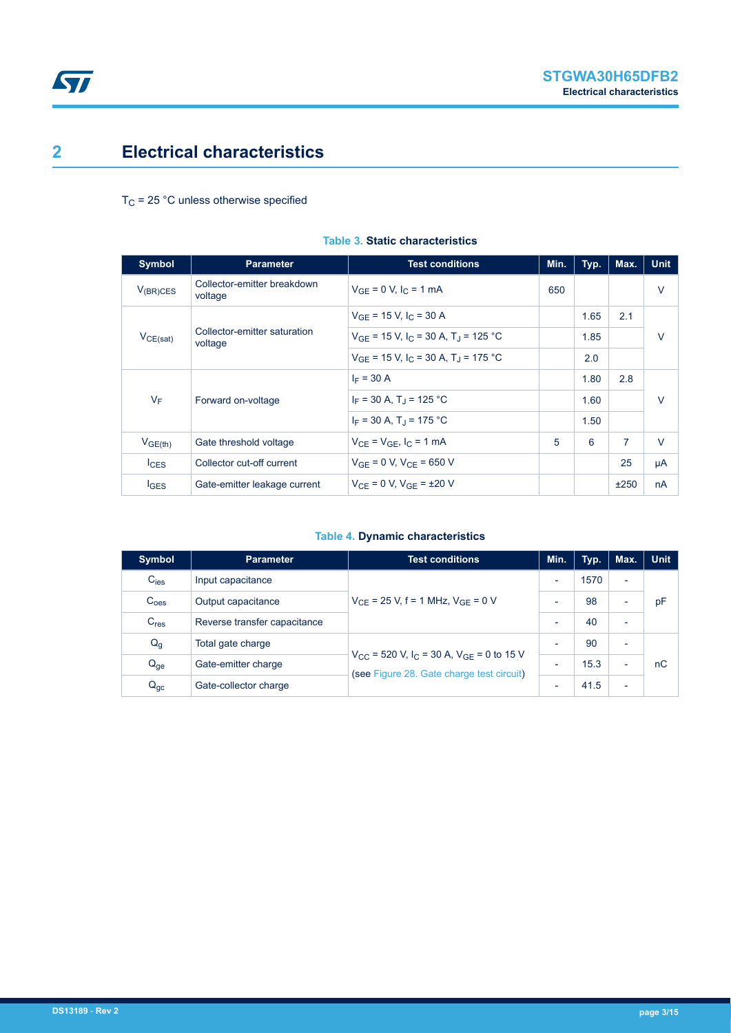## <span id="page-2-0"></span>**2 Electrical characteristics**

 $T_C$  = 25 °C unless otherwise specified

| <b>Symbol</b>    | <b>Parameter</b>                        | <b>Test conditions</b>                                          | Min. | Typ. | Max.           | <b>Unit</b> |
|------------------|-----------------------------------------|-----------------------------------------------------------------|------|------|----------------|-------------|
| $V_{(BR)CES}$    | Collector-emitter breakdown<br>voltage  | $V_{GF} = 0 V, I_{C} = 1 mA$                                    | 650  |      |                | $\vee$      |
|                  | Collector-emitter saturation<br>voltage | $V_{GE}$ = 15 V, I <sub>C</sub> = 30 A                          |      | 1.65 | 2.1            |             |
| $V_{CE(sat)}$    |                                         | $V_{GF}$ = 15 V, I <sub>C</sub> = 30 A, T <sub>J</sub> = 125 °C |      | 1.85 |                | $\vee$      |
|                  |                                         | $V_{GF}$ = 15 V, I <sub>C</sub> = 30 A, T <sub>J</sub> = 175 °C |      | 2.0  |                |             |
|                  | Forward on-voltage                      | $I_F = 30 A$                                                    |      | 1.80 | 2.8            | $\vee$      |
| $V_F$            |                                         | $I_F = 30 A$ , T <sub>1</sub> = 125 °C                          |      | 1.60 |                |             |
|                  |                                         | $I_F = 30 A$ . T <sub>1</sub> = 175 °C                          |      | 1.50 |                |             |
| $V_{GE(th)}$     | Gate threshold voltage                  | $V_{CF}$ = $V_{GF}$ , $I_C$ = 1 mA                              | 5    | 6    | $\overline{7}$ | $\vee$      |
| lc <sub>ES</sub> | Collector cut-off current               | $V_{GF} = 0 V$ , $V_{CF} = 650 V$                               |      |      | 25             | μA          |
| $I_{\text{GES}}$ | Gate-emitter leakage current            | $V_{CF} = 0 V$ , $V_{GF} = \pm 20 V$                            |      |      | ±250           | nA          |

#### **Table 3. Static characteristics**

#### **Table 4. Dynamic characteristics**

| Symbol           | <b>Parameter</b>             | <b>Test conditions</b>                                                                                            | Min.                     | Typ. | Max.                     | <b>Unit</b> |
|------------------|------------------------------|-------------------------------------------------------------------------------------------------------------------|--------------------------|------|--------------------------|-------------|
| $C_{\text{ies}}$ | Input capacitance            | $V_{CF}$ = 25 V, f = 1 MHz, $V_{GF}$ = 0 V                                                                        | $\overline{\phantom{0}}$ | 1570 | $\overline{\phantom{a}}$ |             |
| C <sub>oes</sub> | Output capacitance           |                                                                                                                   | $\overline{\phantom{0}}$ | 98   | $\overline{\phantom{0}}$ | pF          |
| C <sub>res</sub> | Reverse transfer capacitance |                                                                                                                   | $\overline{\phantom{0}}$ | 40   | $\overline{\phantom{0}}$ |             |
| $Q_g$            | Total gate charge            | $V_{CC}$ = 520 V, I <sub>C</sub> = 30 A, V <sub>GE</sub> = 0 to 15 V<br>(see Figure 28. Gate charge test circuit) | $\overline{\phantom{0}}$ | 90   | $\overline{\phantom{0}}$ |             |
| $Q_{ge}$         | Gate-emitter charge          |                                                                                                                   | $\overline{\phantom{0}}$ | 15.3 | $\overline{\phantom{0}}$ | nC          |
| $Q_{gc}$         | Gate-collector charge        |                                                                                                                   | $\overline{\phantom{0}}$ | 41.5 | $\overline{\phantom{0}}$ |             |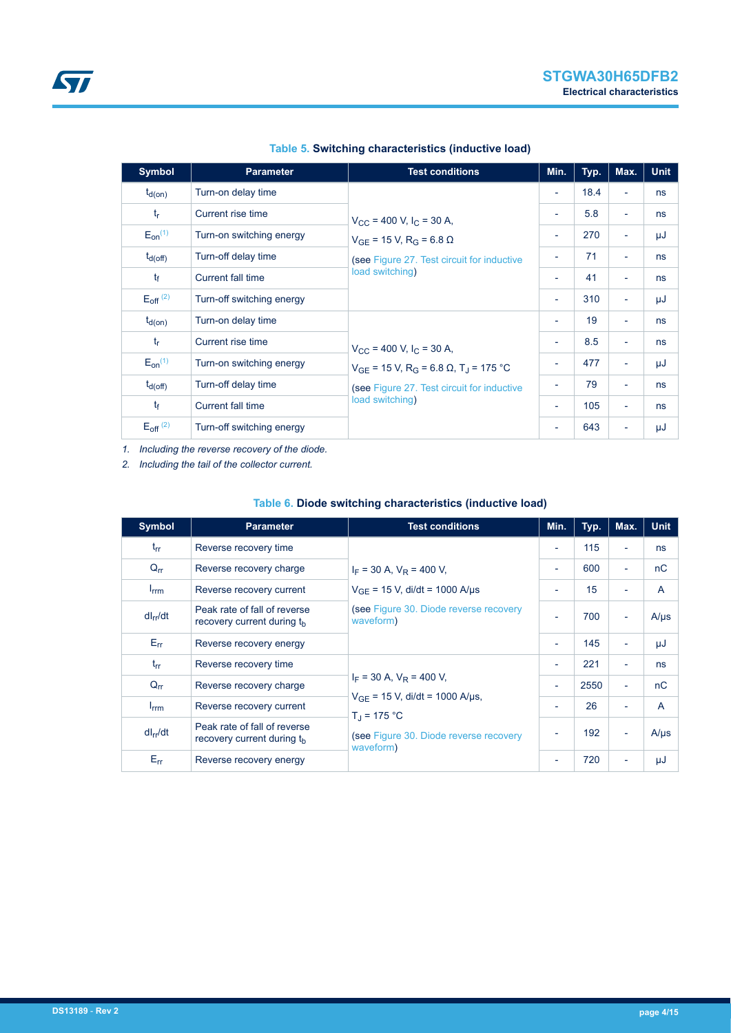| Symbol                   | <b>Parameter</b>          | <b>Test conditions</b>                                                   | Min.                     | Typ. | Max.                     | <b>Unit</b> |
|--------------------------|---------------------------|--------------------------------------------------------------------------|--------------------------|------|--------------------------|-------------|
| $t_{d(on)}$              | Turn-on delay time        |                                                                          | $\overline{\phantom{a}}$ | 18.4 | $\overline{\phantom{a}}$ | ns          |
| $t_{r}$                  | Current rise time         | $V_{\rm CC}$ = 400 V, I <sub>C</sub> = 30 A,                             | $\overline{\phantom{a}}$ | 5.8  | $\overline{\phantom{a}}$ | ns          |
| $E_{on}^{(1)}$           | Turn-on switching energy  | $V_{GF}$ = 15 V, R <sub>G</sub> = 6.8 $\Omega$                           | $\overline{\phantom{a}}$ | 270  | $\overline{\phantom{a}}$ | μJ          |
| $t_{d(off)}$             | Turn-off delay time       | (see Figure 27. Test circuit for inductive                               | $\overline{\phantom{a}}$ | 71   | $\overline{\phantom{a}}$ | ns          |
| $t_{\rm f}$              | Current fall time         | load switching)                                                          | $\overline{\phantom{a}}$ | 41   | $\overline{\phantom{a}}$ | ns          |
| $E_{\text{off}}^{(2)}$   | Turn-off switching energy |                                                                          | $\overline{\phantom{a}}$ | 310  | $\overline{\phantom{a}}$ | μJ          |
| $t_{d(on)}$              | Turn-on delay time        |                                                                          | $\overline{\phantom{a}}$ | 19   | $\sim$                   | ns          |
| $t_{r}$                  | Current rise time         | $V_{\text{CC}}$ = 400 V, I <sub>C</sub> = 30 A,                          | $\overline{\phantom{a}}$ | 8.5  | $\overline{\phantom{a}}$ | ns          |
| $E_{on}^{(1)}$           | Turn-on switching energy  | $V_{GE}$ = 15 V, R <sub>G</sub> = 6.8 $\Omega$ , T <sub>J</sub> = 175 °C | $\overline{\phantom{a}}$ | 477  | $\overline{\phantom{a}}$ | μJ          |
| $t_{d(off)}$             | Turn-off delay time       | (see Figure 27. Test circuit for inductive                               | $\overline{\phantom{a}}$ | 79   | $\overline{\phantom{a}}$ | ns          |
| $t_{\rm f}$              | Current fall time         | load switching)                                                          | $\overline{\phantom{a}}$ | 105  | $\overline{\phantom{a}}$ | ns          |
| $E_{off}$ <sup>(2)</sup> | Turn-off switching energy |                                                                          | $\overline{\phantom{a}}$ | 643  | $\overline{\phantom{a}}$ | μJ          |

#### **Table 5. Switching characteristics (inductive load)**

*1. Including the reverse recovery of the diode.*

*2. Including the tail of the collector current.*

#### **Table 6. Diode switching characteristics (inductive load)**

| <b>Symbol</b>    | <b>Parameter</b>                                                       | <b>Test conditions</b>                                                                                         | Min.                     | Typ. | Max.                     | <b>Unit</b>    |
|------------------|------------------------------------------------------------------------|----------------------------------------------------------------------------------------------------------------|--------------------------|------|--------------------------|----------------|
| $t_{rr}$         | Reverse recovery time                                                  | $I_F$ = 30 A, $V_R$ = 400 V,                                                                                   | $\overline{\phantom{a}}$ | 115  | ٠                        | ns             |
| $Q_{rr}$         | Reverse recovery charge                                                |                                                                                                                | $\overline{\phantom{a}}$ | 600  | ÷                        | nC             |
| $I_{\text{rrm}}$ | Reverse recovery current                                               | $V_{GF}$ = 15 V, di/dt = 1000 A/µs                                                                             | $\overline{\phantom{a}}$ | 15   | -                        | $\overline{A}$ |
| $dl_{rr}/dt$     | Peak rate of fall of reverse<br>recovery current during t <sub>h</sub> | (see Figure 30. Diode reverse recovery<br>waveform)                                                            | ÷,                       | 700  | ٠                        | $A/\mu s$      |
| $E_{rr}$         | Reverse recovery energy                                                |                                                                                                                | $\overline{\phantom{a}}$ | 145  | ٠                        | μJ             |
| $t_{rr}$         | Reverse recovery time                                                  |                                                                                                                | $\overline{\phantom{a}}$ | 221  | ÷                        | ns             |
| $Q_{rr}$         | Reverse recovery charge                                                | $I_F$ = 30 A, $V_R$ = 400 V,                                                                                   | $\overline{\phantom{a}}$ | 2550 | ٠                        | nC             |
| $I_{\text{rrm}}$ | Reverse recovery current                                               | $V_{GF}$ = 15 V, di/dt = 1000 A/us,<br>$T_{d}$ = 175 °C<br>(see Figure 30. Diode reverse recovery<br>waveform) | $\overline{\phantom{a}}$ | 26   | $\overline{\phantom{0}}$ | A              |
| $dl_{rr}/dt$     | Peak rate of fall of reverse<br>recovery current during the            |                                                                                                                | $\overline{\phantom{a}}$ | 192  | $\overline{\phantom{a}}$ | $A/\mu s$      |
| $E_{rr}$         | Reverse recovery energy                                                |                                                                                                                | $\overline{\phantom{a}}$ | 720  |                          | μJ             |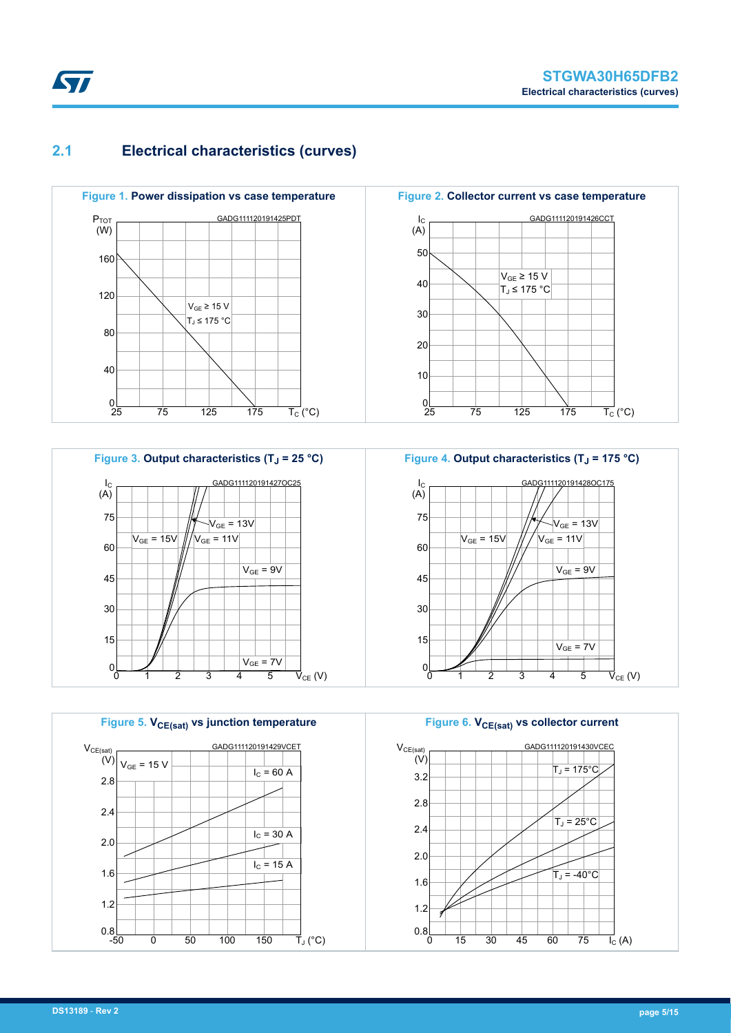# <span id="page-4-0"></span>**2.1 Electrical characteristics (curves)**







**Figure 2. Collector current vs case temperature** GADG111120191426CCT 50 40 30 20 10  $\frac{0}{25}$ 25 75 125 175  $I_{\rm C}$ (A)  $\overline{\mathsf{T}_{\mathsf{C}}}$  (°C)  $V_{GE}$  ≥ 15 V  $T_J$  ≤ 175 °C



**Figure 6. VCE(sat) vs collector current** GADG111120191430VCEC 3.2 2.8 2.4 2.0 1.6 1.2  $0.8$  $15$  30 45 60 75 I<sub>C</sub> (A)  $V_{CE(sat)}$ (V)  $T_J = -40^{\circ}$ C  $T_J = 25^{\circ}C$  $T_J = 175^{\circ}$ C

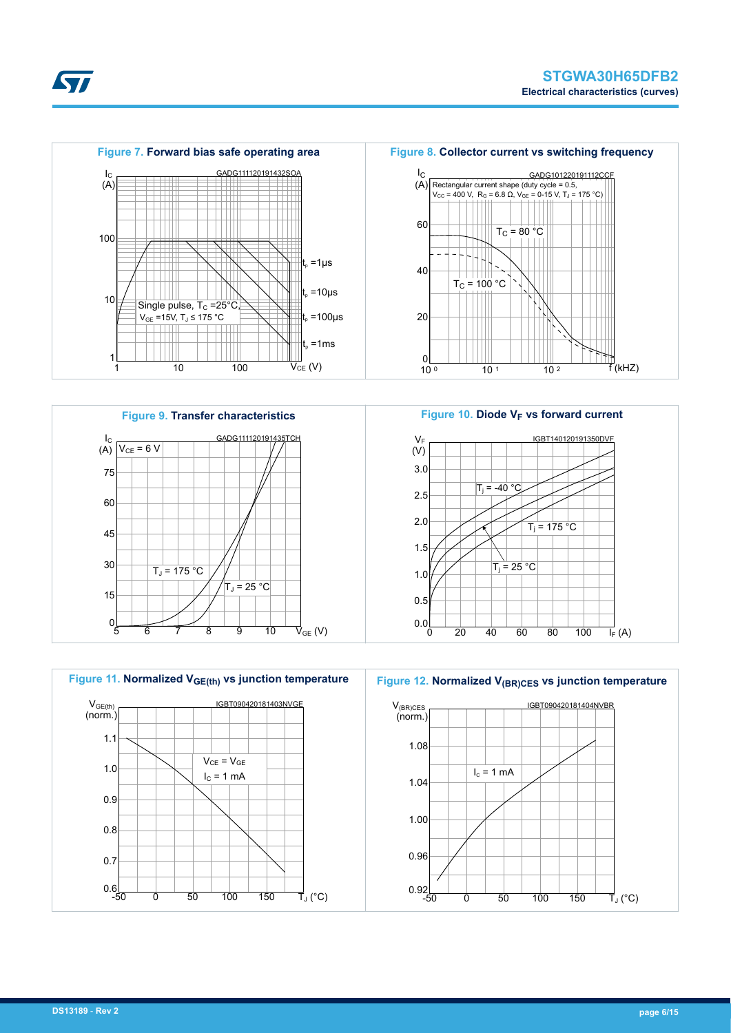

**Kyr** 







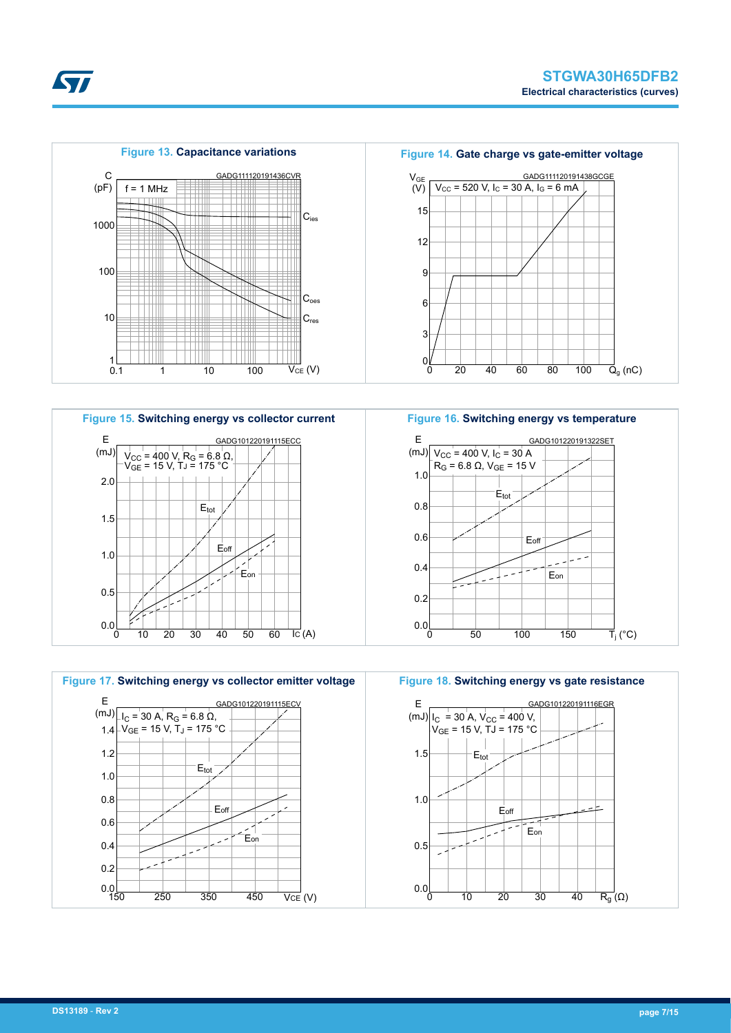

















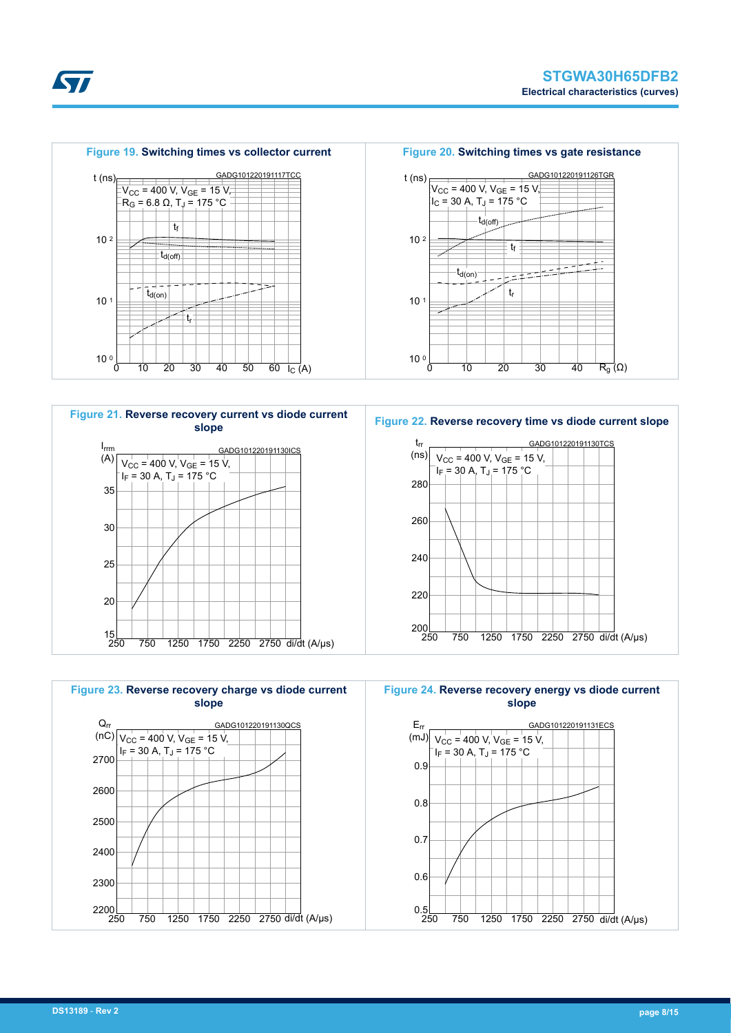







**Figure 24. Reverse recovery energy vs diode current slope**



S7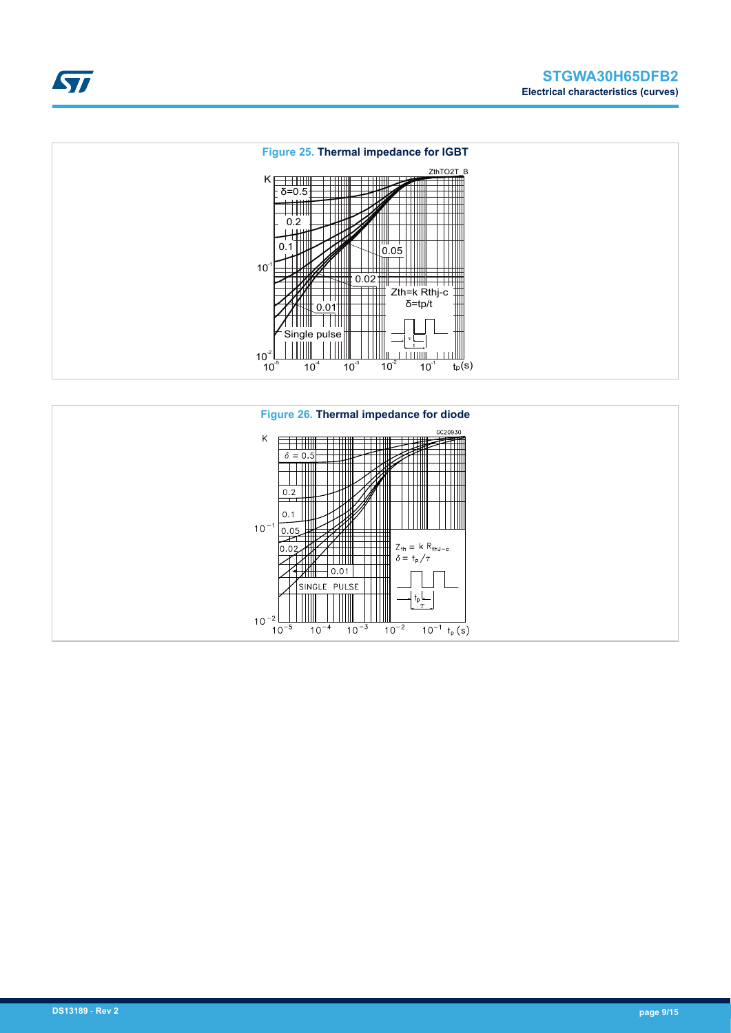



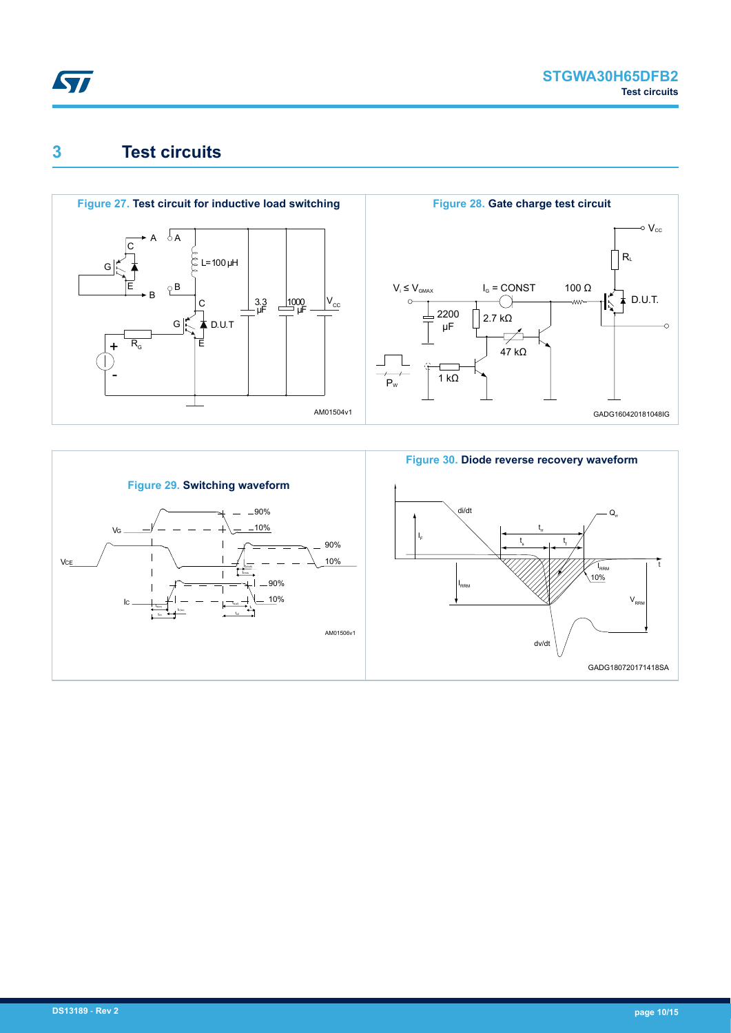<span id="page-9-0"></span>

### **3 Test circuits**



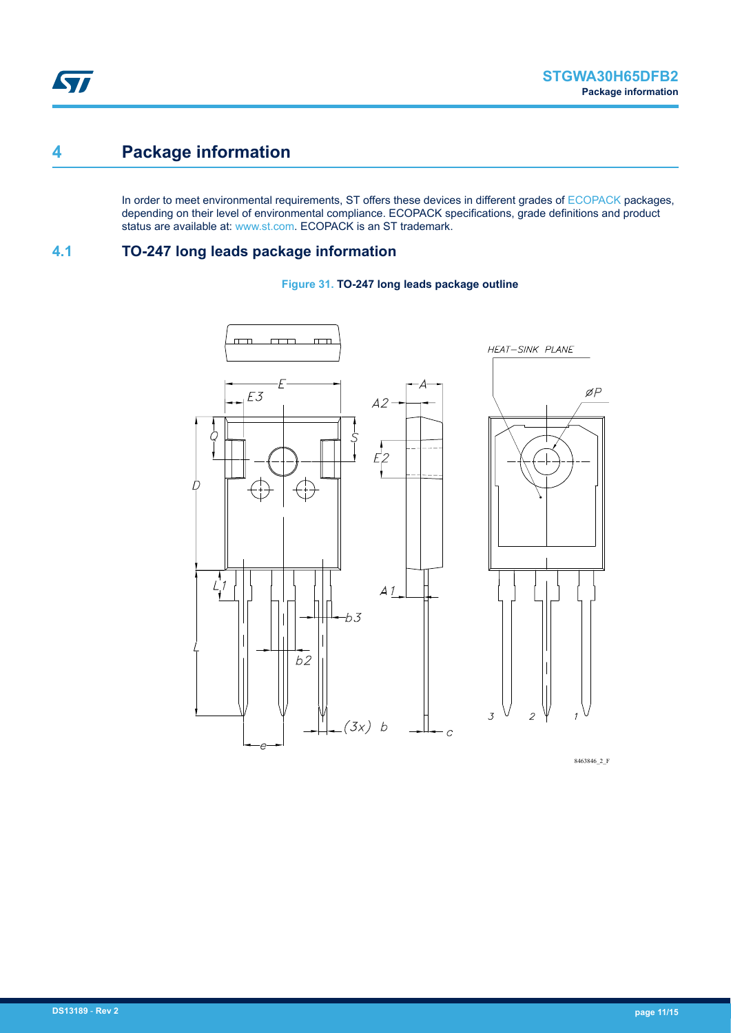### <span id="page-10-0"></span>**4 Package information**

In order to meet environmental requirements, ST offers these devices in different grades of [ECOPACK](https://www.st.com/ecopack) packages, depending on their level of environmental compliance. ECOPACK specifications, grade definitions and product status are available at: [www.st.com.](http://www.st.com) ECOPACK is an ST trademark.

### **4.1 TO-247 long leads package information**





8463846\_2\_F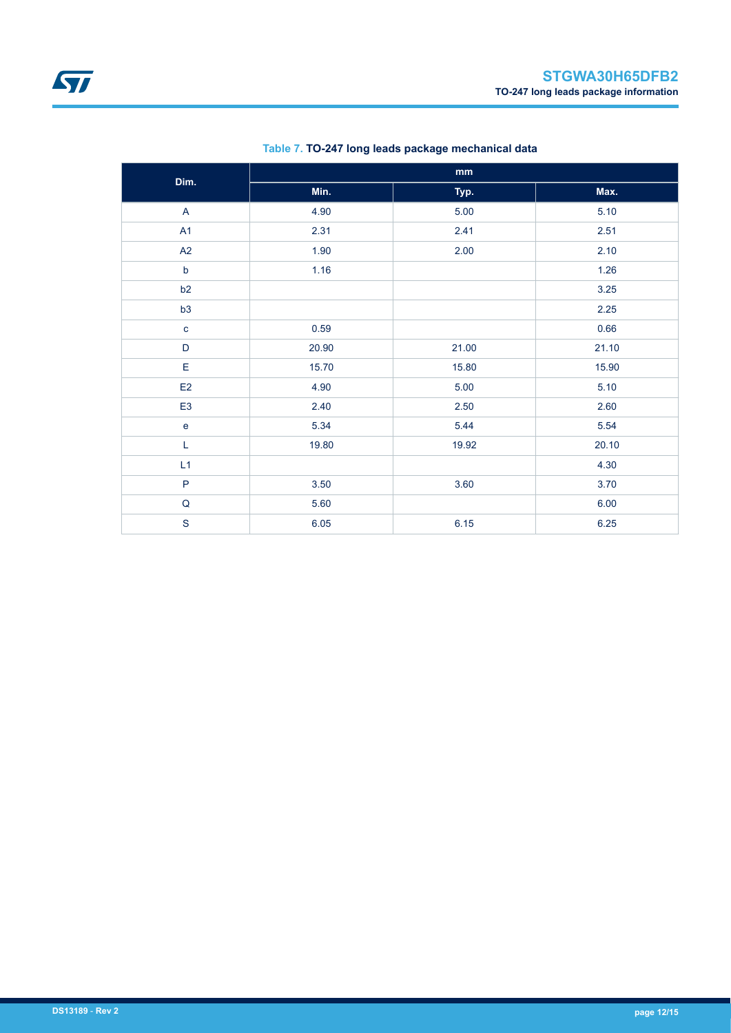| Dim.           |       | mm    |       |
|----------------|-------|-------|-------|
|                | Min.  | Typ.  | Max.  |
| $\mathsf{A}$   | 4.90  | 5.00  | 5.10  |
| A1             | 2.31  | 2.41  | 2.51  |
| A2             | 1.90  | 2.00  | 2.10  |
| $\mathsf b$    | 1.16  |       | 1.26  |
| b2             |       |       | 3.25  |
| b3             |       |       | 2.25  |
| $\mathbf{C}$   | 0.59  |       | 0.66  |
| D              | 20.90 | 21.00 | 21.10 |
| E              | 15.70 | 15.80 | 15.90 |
| E2             | 4.90  | 5.00  | 5.10  |
| E <sub>3</sub> | 2.40  | 2.50  | 2.60  |
| $\mathbf{e}$   | 5.34  | 5.44  | 5.54  |
| L              | 19.80 | 19.92 | 20.10 |
| L1             |       |       | 4.30  |
| $\mathsf{P}$   | 3.50  | 3.60  | 3.70  |
| $\mathsf Q$    | 5.60  |       | 6.00  |
| $\mathbf S$    | 6.05  | 6.15  | 6.25  |

#### **Table 7. TO-247 long leads package mechanical data**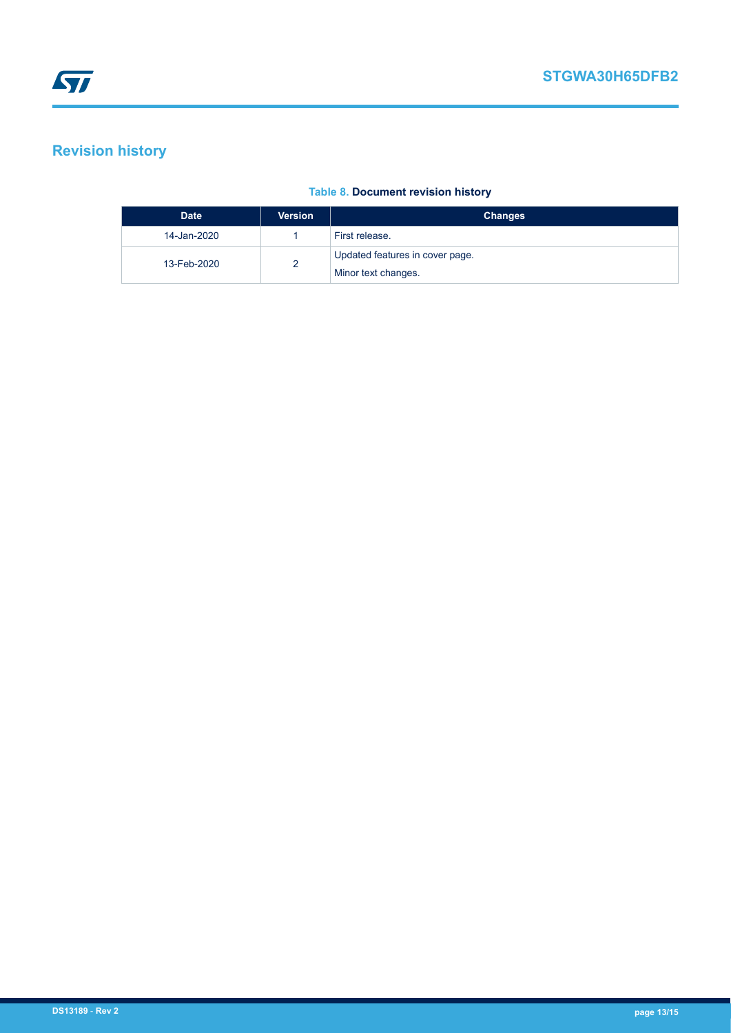# <span id="page-12-0"></span>**Revision history**

#### **Table 8. Document revision history**

| <b>Date</b> | <b>Version</b> | <b>Changes</b>                  |
|-------------|----------------|---------------------------------|
| 14-Jan-2020 |                | First release.                  |
| 13-Feb-2020 | ∼              | Updated features in cover page. |
|             |                | Minor text changes.             |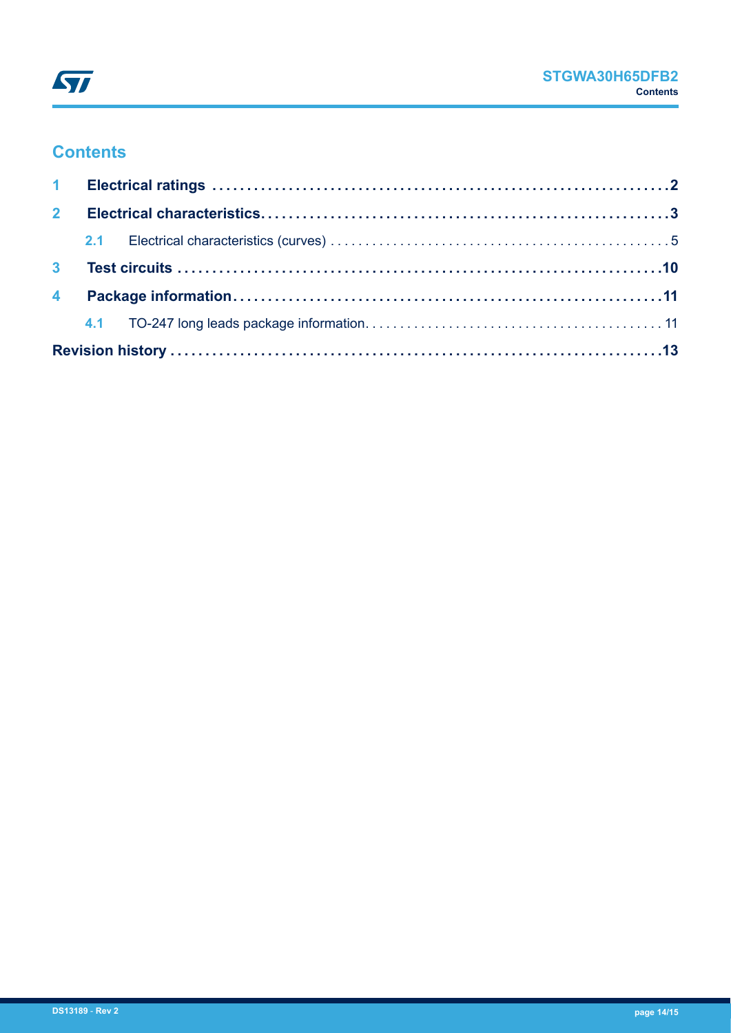

### **Contents**

| $2^{\circ}$ |  |  |
|-------------|--|--|
|             |  |  |
|             |  |  |
|             |  |  |
|             |  |  |
|             |  |  |